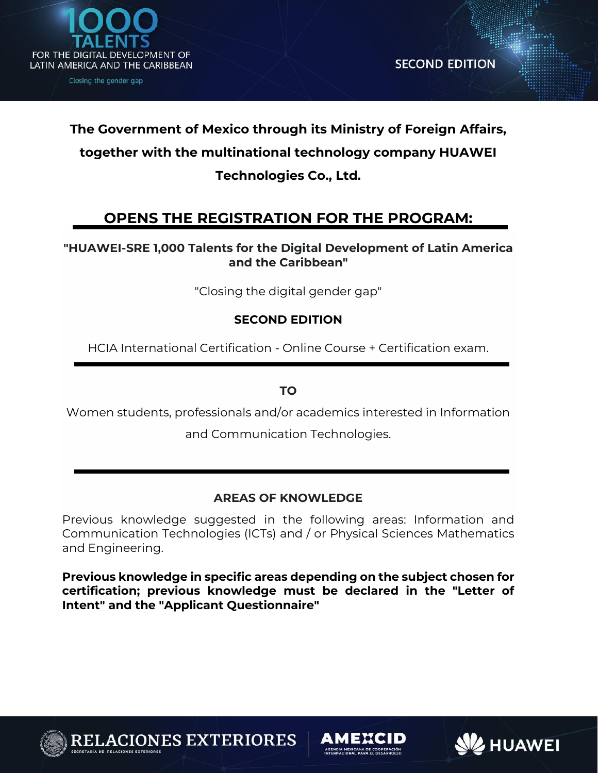

# **The Government of Mexico through its Ministry of Foreign Affairs, together with the multinational technology company HUAWEI Technologies Co., Ltd.**

# **OPENS THE REGISTRATION FOR THE PROGRAM:**

# **"HUAWEI-SRE 1,000 Talents for the Digital Development of Latin America and the Caribbean"**

"Closing the digital gender gap"

# **SECOND EDITION**

HCIA International Certification - Online Course + Certification exam.

**TO**

Women students, professionals and/or academics interested in Information

and Communication Technologies.

# **AREAS OF KNOWLEDGE**

Previous knowledge suggested in the following areas: Information and Communication Technologies (ICTs) and / or Physical Sciences Mathematics and Engineering.

**Previous knowledge in specific areas depending on the subject chosen for certification; previous knowledge must be declared in the "Letter of Intent" and the "Applicant Questionnaire"**



**VES EXTERIORES** 

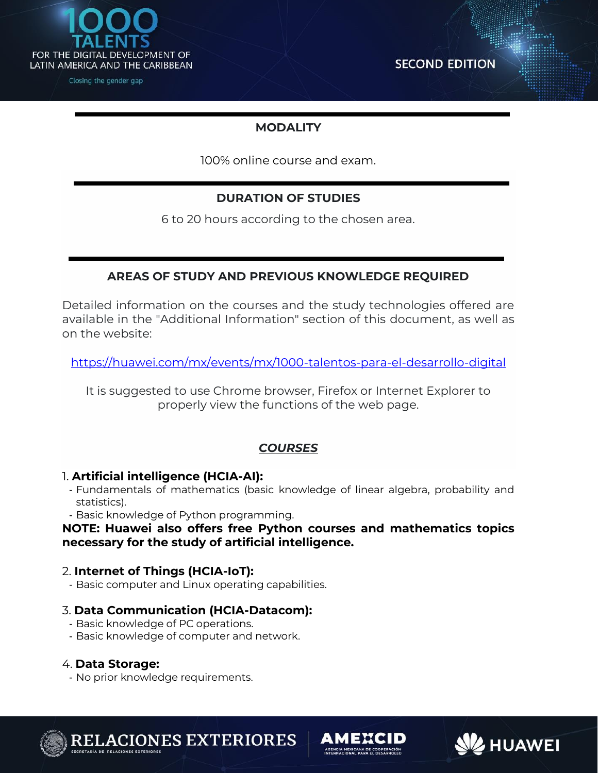

**SECOND EDITION** 

**BHUAWEI** 

# **MODALITY**

100% online course and exam.

# **DURATION OF STUDIES**

6 to 20 hours according to the chosen area.

# **AREAS OF STUDY AND PREVIOUS KNOWLEDGE REQUIRED**

Detailed information on the courses and the study technologies offered are available in the "Additional Information" section of this document, as well as on the website:

<https://huawei.com/mx/events/mx/1000-talentos-para-el-desarrollo-digital>

It is suggested to use Chrome browser, Firefox or Internet Explorer to properly view the functions of the web page.

# *COURSES*

## 1. **Artificial intelligence (HCIA-AI):**

- Fundamentals of mathematics (basic knowledge of linear algebra, probability and statistics).
- Basic knowledge of Python programming.

#### **NOTE: Huawei also offers free Python courses and mathematics topics necessary for the study of artificial intelligence.**

## 2. **Internet of Things (HCIA-IoT):**

- Basic computer and Linux operating capabilities.

## 3. **Data Communication (HCIA-Datacom):**

- Basic knowledge of PC operations.
- Basic knowledge of computer and network.

## 4. **Data Storage:**

- No prior knowledge requirements.



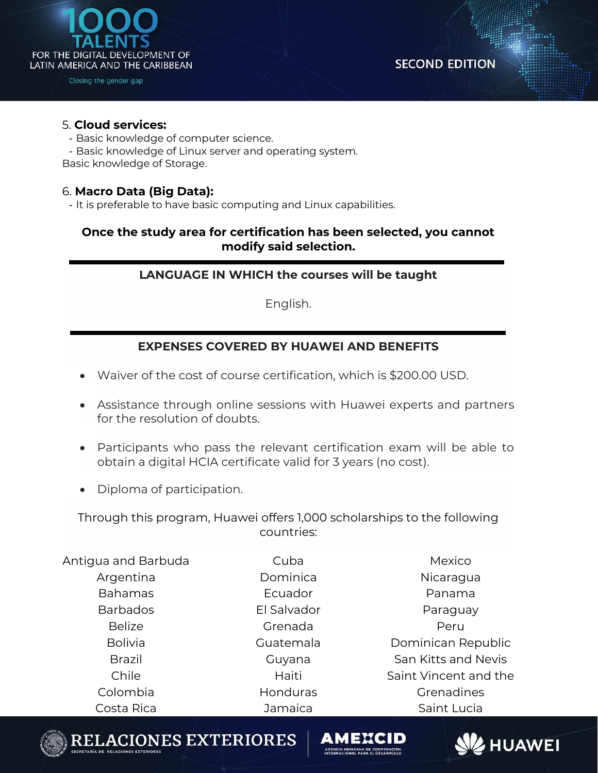

**SECOND EDITION** 

#### 5. **Cloud services:**

- Basic knowledge of computer science.
- Basic knowledge of Linux server and operating system.

Basic knowledge of Storage.

#### 6. **Macro Data (Big Data):**

- It is preferable to have basic computing and Linux capabilities.

# **Once the study area for certification has been selected, you cannot modify said selection.**

# **LANGUAGE IN WHICH the courses will be taught**

English.

# **EXPENSES COVERED BY HUAWEI AND BENEFITS**

- Waiver of the cost of course certification, which is \$200.00 USD.
- Assistance through online sessions with Huawei experts and partners for the resolution of doubts.
- Participants who pass the relevant certification exam will be able to obtain a digital HCIA certificate valid for 3 years (no cost).
- Diploma of participation.

Through this program, Huawei offers 1,000 scholarships to the following countries:

| Antigua and Barbuda | Cuba        | Mexico                |
|---------------------|-------------|-----------------------|
| Argentina           | Dominica    | Nicaragua             |
| <b>Bahamas</b>      | Ecuador     | Panama                |
| <b>Barbados</b>     | El Salvador | Paraguay              |
| <b>Belize</b>       | Grenada     | Peru                  |
| <b>Bolivia</b>      | Guatemala   | Dominican Republic    |
| <b>Brazil</b>       | Guyana      | San Kitts and Nevis   |
| Chile               | Haiti       | Saint Vincent and the |
| Colombia            | Honduras    | Grenadines            |
| Costa Rica          | Jamaica     | Saint Lucia           |



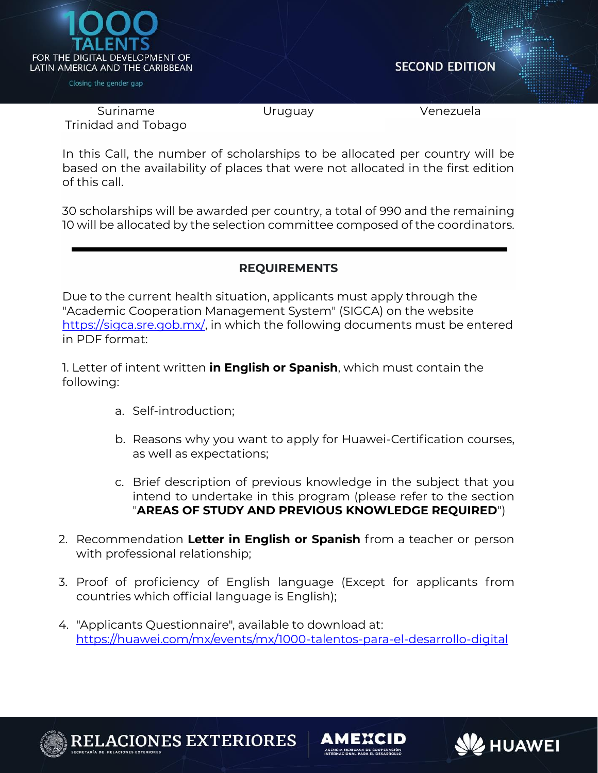

**SECOND EDITION** 

Suriname Trinidad and Tobago

Uruguay Venezuela

In this Call, the number of scholarships to be allocated per country will be based on the availability of places that were not allocated in the first edition of this call.

30 scholarships will be awarded per country, a total of 990 and the remaining 10 will be allocated by the selection committee composed of the coordinators.

# **REQUIREMENTS**

Due to the current health situation, applicants must apply through the "Academic Cooperation Management System" (SIGCA) on the website [https://sigca.sre.gob.mx/,](https://sigca.sre.gob.mx/) in which the following documents must be entered in PDF format:

1. Letter of intent written **in English or Spanish**, which must contain the following:

- a. Self-introduction;
- b. Reasons why you want to apply for Huawei-Certification courses, as well as expectations;
- c. Brief description of previous knowledge in the subject that you intend to undertake in this program (please refer to the section "**AREAS OF STUDY AND PREVIOUS KNOWLEDGE REQUIRED**")
- 2. Recommendation **Letter in English or Spanish** from a teacher or person with professional relationship;
- 3. Proof of proficiency of English language (Except for applicants from countries which official language is English);
- 4. "Applicants Questionnaire", available to download at: <https://huawei.com/mx/events/mx/1000-talentos-para-el-desarrollo-digital>



**ES EXTERIORES** 

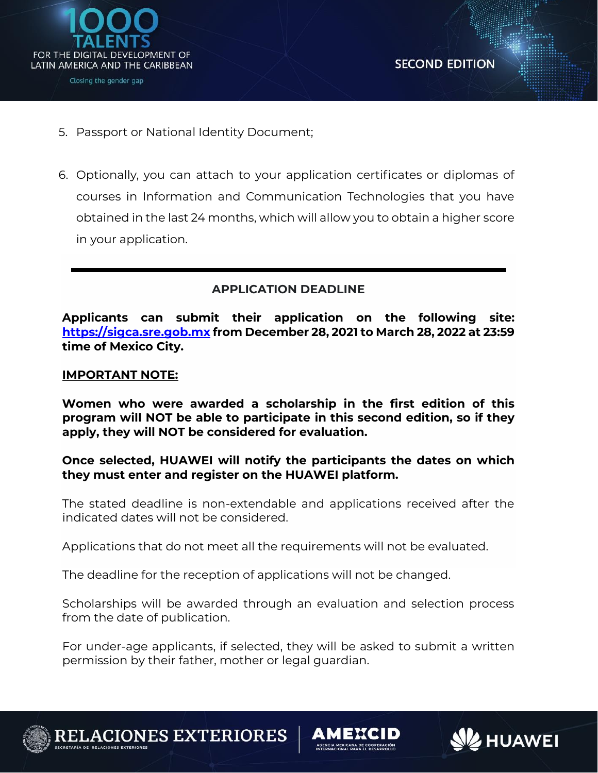

**SHUAWEI** 

- 5. Passport or National Identity Document;
- 6. Optionally, you can attach to your application certificates or diplomas of courses in Information and Communication Technologies that you have obtained in the last 24 months, which will allow you to obtain a higher score in your application.

#### **APPLICATION DEADLINE**

**Applicants can submit their application on the following site: [https://sigca.sre.gob.mx](https://sigca.sre.gob.mx/) from December 28, 2021 to March 28, 2022 at 23:59 time of Mexico City.**

#### **IMPORTANT NOTE:**

**Women who were awarded a scholarship in the first edition of this program will NOT be able to participate in this second edition, so if they apply, they will NOT be considered for evaluation.**

#### **Once selected, HUAWEI will notify the participants the dates on which they must enter and register on the HUAWEI platform.**

The stated deadline is non-extendable and applications received after the indicated dates will not be considered.

Applications that do not meet all the requirements will not be evaluated.

The deadline for the reception of applications will not be changed.

Scholarships will be awarded through an evaluation and selection process from the date of publication.

For under-age applicants, if selected, they will be asked to submit a written permission by their father, mother or legal guardian.



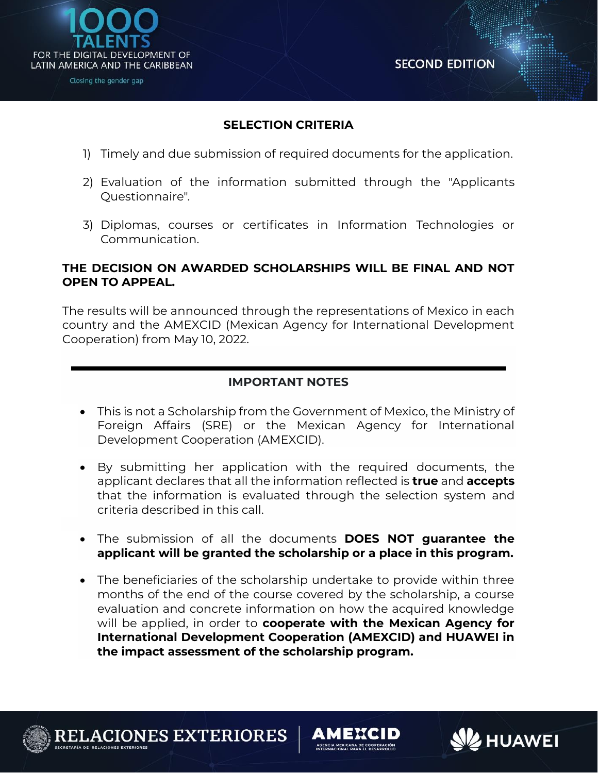

**SHUAWEI** 

## **SELECTION CRITERIA**

- 1) Timely and due submission of required documents for the application.
- 2) Evaluation of the information submitted through the "Applicants Questionnaire".
- 3) Diplomas, courses or certificates in Information Technologies or Communication.

#### **THE DECISION ON AWARDED SCHOLARSHIPS WILL BE FINAL AND NOT OPEN TO APPEAL.**

The results will be announced through the representations of Mexico in each country and the AMEXCID (Mexican Agency for International Development Cooperation) from May 10, 2022.

# **IMPORTANT NOTES**

- This is not a Scholarship from the Government of Mexico, the Ministry of Foreign Affairs (SRE) or the Mexican Agency for International Development Cooperation (AMEXCID).
- By submitting her application with the required documents, the applicant declares that all the information reflected is **true** and **accepts** that the information is evaluated through the selection system and criteria described in this call.
- The submission of all the documents **DOES NOT guarantee the applicant will be granted the scholarship or a place in this program.**
- The beneficiaries of the scholarship undertake to provide within three months of the end of the course covered by the scholarship, a course evaluation and concrete information on how the acquired knowledge will be applied, in order to **cooperate with the Mexican Agency for International Development Cooperation (AMEXCID) and HUAWEI in the impact assessment of the scholarship program.**

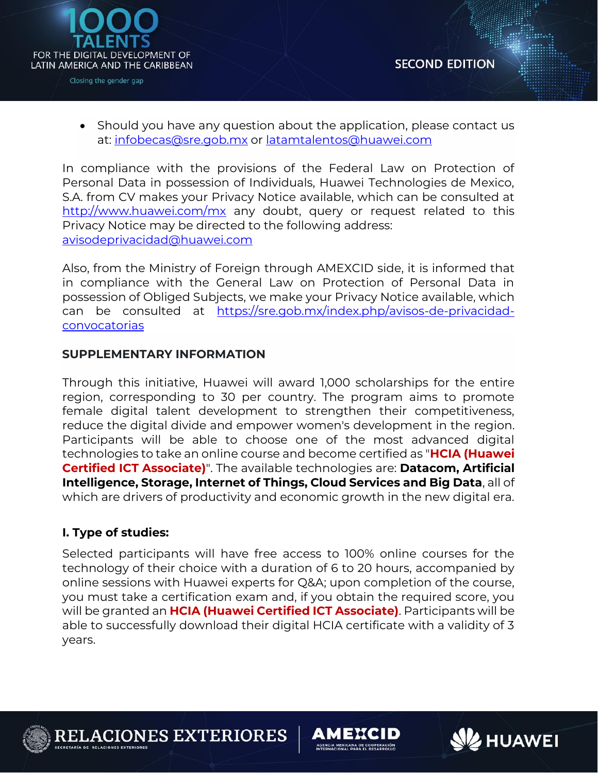

• Should you have any question about the application, please contact us at: [infobecas@sre.gob.mx](mailto:infobecas@sre.gob.mx) or [latamtalentos@huawei.com](mailto:latamtalentos@huawei.com)

In compliance with the provisions of the Federal Law on Protection of Personal Data in possession of Individuals, Huawei Technologies de Mexico, S.A. from CV makes your Privacy Notice available, which can be consulted at <http://www.huawei.com/mx> any doubt, query or request related to this Privacy Notice may be directed to the following address: [avisodeprivacidad@huawei.com](mailto:avisodeprivacidad@huawei.com)

Also, from the Ministry of Foreign through AMEXCID side, it is informed that in compliance with the General Law on Protection of Personal Data in possession of Obliged Subjects, we make your Privacy Notice available, which can be consulted at [https://sre.gob.mx/index.php/avisos-de-privacidad](https://sre.gob.mx/index.php/avisos-de-privacidad-convocatorias)[convocatorias](https://sre.gob.mx/index.php/avisos-de-privacidad-convocatorias)

## **SUPPLEMENTARY INFORMATION**

Through this initiative, Huawei will award 1,000 scholarships for the entire region, corresponding to 30 per country. The program aims to promote female digital talent development to strengthen their competitiveness, reduce the digital divide and empower women's development in the region. Participants will be able to choose one of the most advanced digital technologies to take an online course and become certified as "**HCIA (Huawei Certified ICT Associate)**". The available technologies are: **Datacom, Artificial Intelligence, Storage, Internet of Things, Cloud Services and Big Data**, all of which are drivers of productivity and economic growth in the new digital era.

#### **I. Type of studies:**

Selected participants will have free access to 100% online courses for the technology of their choice with a duration of 6 to 20 hours, accompanied by online sessions with Huawei experts for Q&A; upon completion of the course, you must take a certification exam and, if you obtain the required score, you will be granted an **HCIA (Huawei Certified ICT Associate)**. Participants will be able to successfully download their digital HCIA certificate with a validity of 3 years.



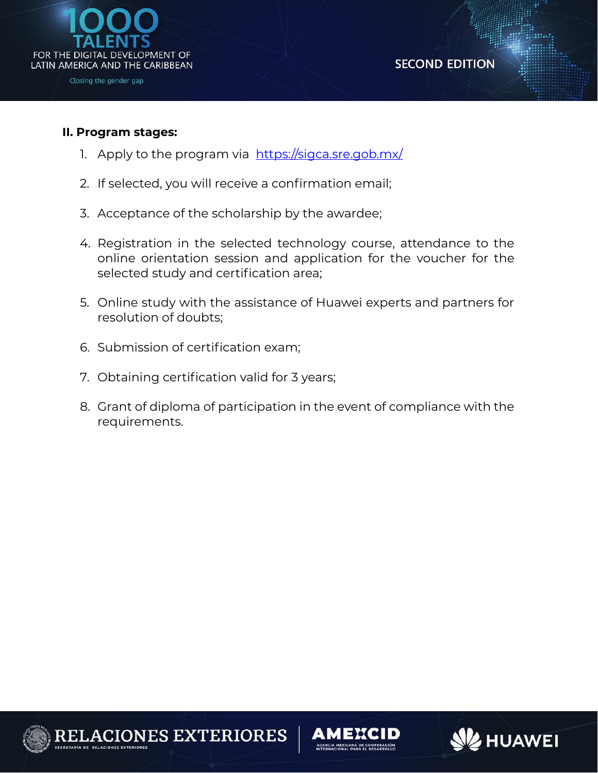

#### **II. Program stages:**

- 1. Apply to the program via <https://sigca.sre.gob.mx/>
- 2. If selected, you will receive a confirmation email;
- 3. Acceptance of the scholarship by the awardee;
- 4. Registration in the selected technology course, attendance to the online orientation session and application for the voucher for the selected study and certification area;
- 5. Online study with the assistance of Huawei experts and partners for resolution of doubts;
- 6. Submission of certification exam;
- 7. Obtaining certification valid for 3 years;
- 8. Grant of diploma of participation in the event of compliance with the requirements.





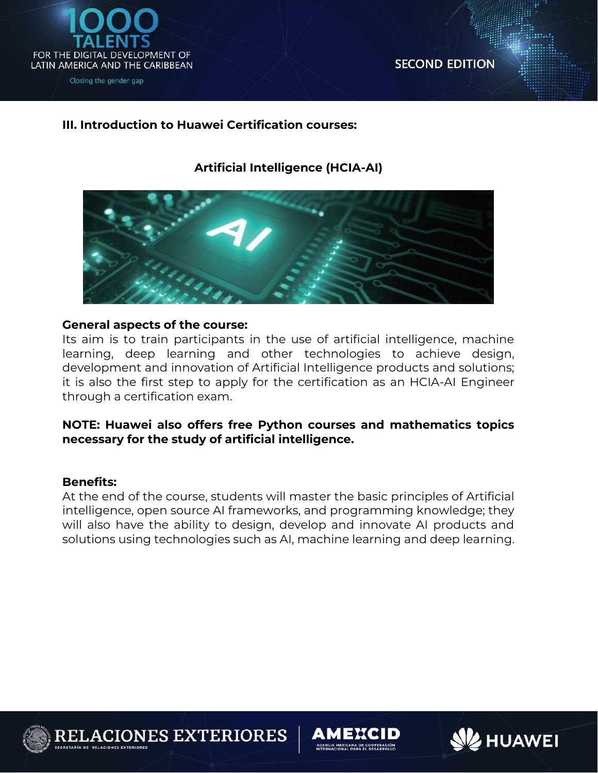

#### **III. Introduction to Huawei Certification courses:**

# **Artificial Intelligence (HCIA-AI)**



#### **General aspects of the course:**

Its aim is to train participants in the use of artificial intelligence, machine learning, deep learning and other technologies to achieve design, development and innovation of Artificial Intelligence products and solutions; it is also the first step to apply for the certification as an HCIA-AI Engineer through a certification exam.

#### **NOTE: Huawei also offers free Python courses and mathematics topics necessary for the study of artificial intelligence.**

#### **Benefits:**

At the end of the course, students will master the basic principles of Artificial intelligence, open source AI frameworks, and programming knowledge; they will also have the ability to design, develop and innovate AI products and solutions using technologies such as AI, machine learning and deep learning.



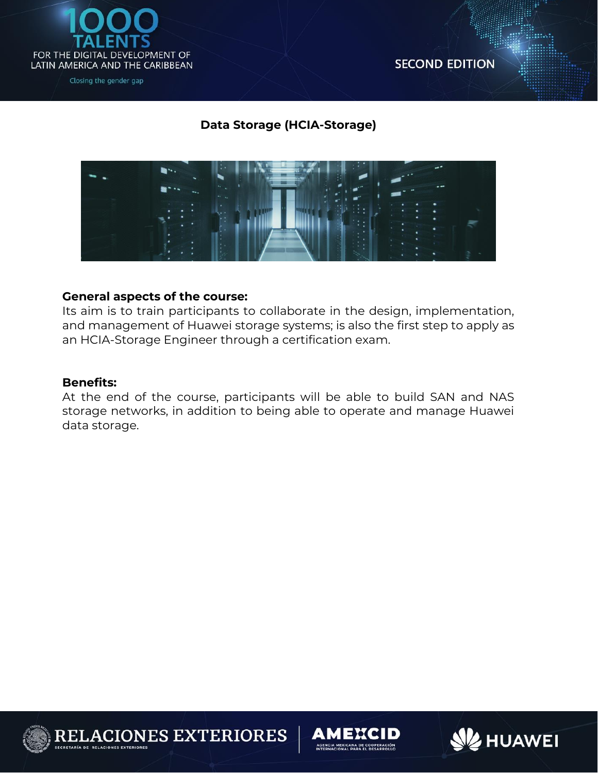

# **Data Storage (HCIA-Storage)**



#### **General aspects of the course:**

Its aim is to train participants to collaborate in the design, implementation, and management of Huawei storage systems; is also the first step to apply as an HCIA-Storage Engineer through a certification exam.

#### **Benefits:**

At the end of the course, participants will be able to build SAN and NAS storage networks, in addition to being able to operate and manage Huawei data storage.



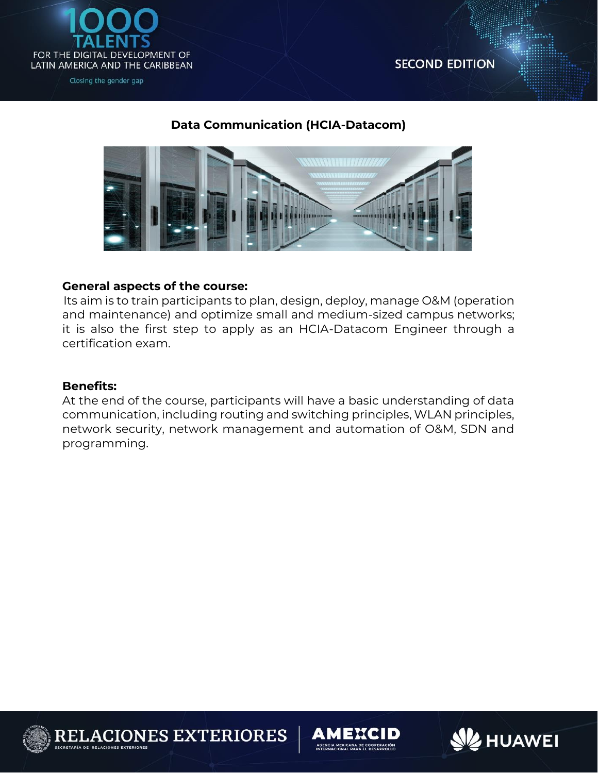

## **Data Communication (HCIA-Datacom)**



#### **General aspects of the course:**

Its aim is to train participants to plan, design, deploy, manage O&M (operation and maintenance) and optimize small and medium-sized campus networks; it is also the first step to apply as an HCIA-Datacom Engineer through a certification exam.

#### **Benefits:**

At the end of the course, participants will have a basic understanding of data communication, including routing and switching principles, WLAN principles, network security, network management and automation of O&M, SDN and programming.



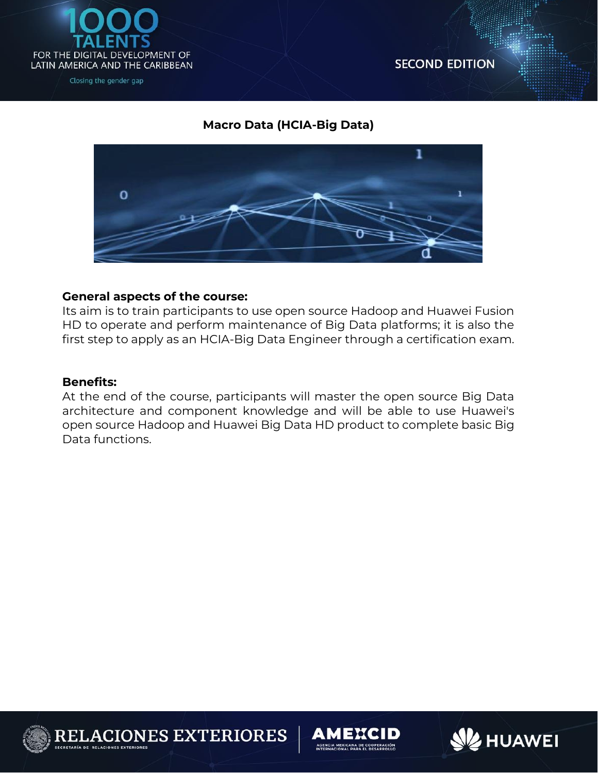

**SECOND EDITION** 

## **Macro Data (HCIA-Big Data)**



#### **General aspects of the course:**

Its aim is to train participants to use open source Hadoop and Huawei Fusion HD to operate and perform maintenance of Big Data platforms; it is also the first step to apply as an HCIA-Big Data Engineer through a certification exam.

#### **Benefits:**

At the end of the course, participants will master the open source Big Data architecture and component knowledge and will be able to use Huawei's open source Hadoop and Huawei Big Data HD product to complete basic Big Data functions.



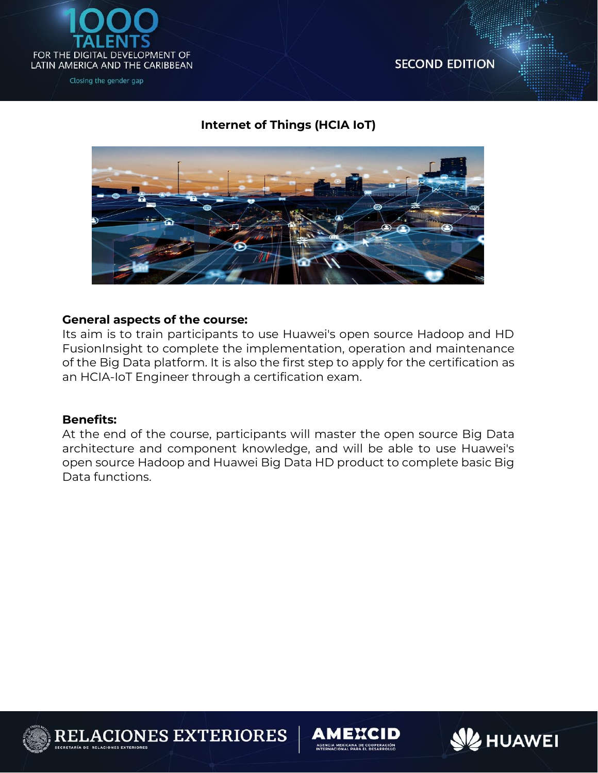

# **Internet of Things (HCIA IoT)**



#### **General aspects of the course:**

Its aim is to train participants to use Huawei's open source Hadoop and HD FusionInsight to complete the implementation, operation and maintenance of the Big Data platform. It is also the first step to apply for the certification as an HCIA-IoT Engineer through a certification exam.

#### **Benefits:**

At the end of the course, participants will master the open source Big Data architecture and component knowledge, and will be able to use Huawei's open source Hadoop and Huawei Big Data HD product to complete basic Big Data functions.



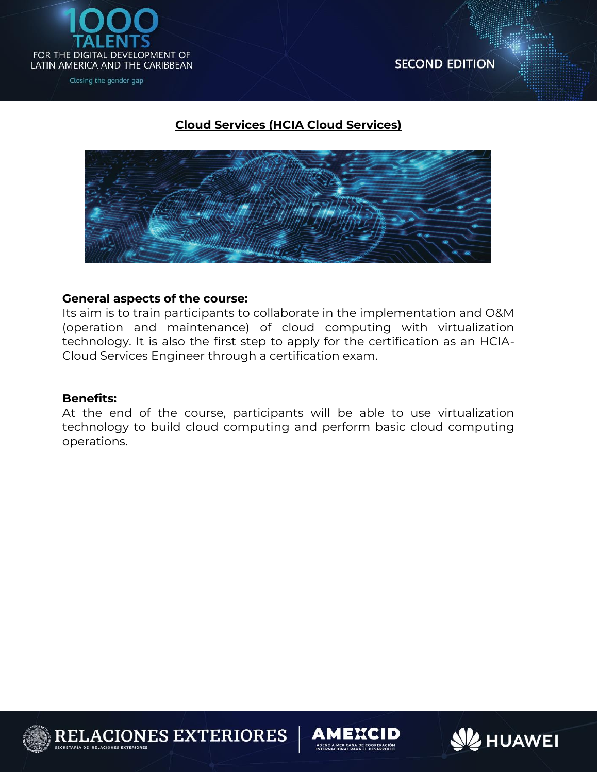

# **Cloud Services (HCIA Cloud Services)**



#### **General aspects of the course:**

Its aim is to train participants to collaborate in the implementation and O&M (operation and maintenance) of cloud computing with virtualization technology. It is also the first step to apply for the certification as an HCIA-Cloud Services Engineer through a certification exam.

#### **Benefits:**

At the end of the course, participants will be able to use virtualization technology to build cloud computing and perform basic cloud computing operations.